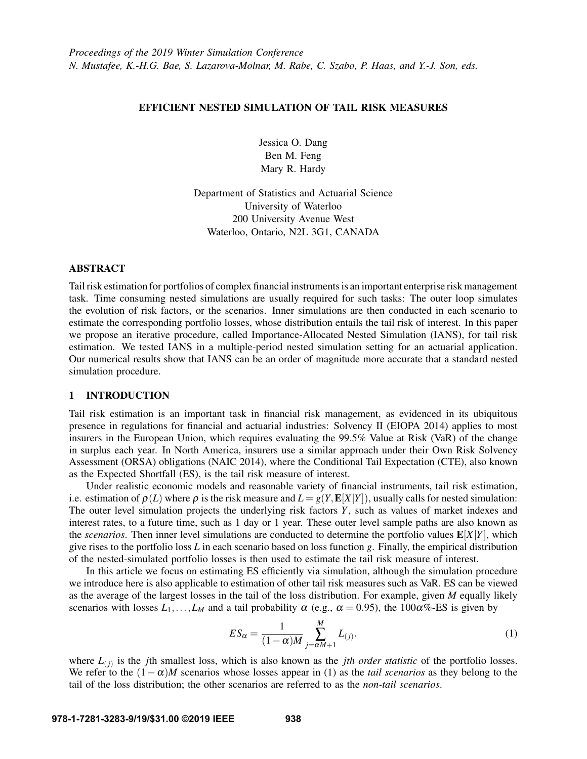## EFFICIENT NESTED SIMULATION OF TAIL RISK MEASURES

Jessica O. Dang Ben M. Feng Mary R. Hardy

Department of Statistics and Actuarial Science University of Waterloo 200 University Avenue West Waterloo, Ontario, N2L 3G1, CANADA

## ABSTRACT

Tail risk estimation for portfolios of complex financial instruments is an important enterprise risk management task. Time consuming nested simulations are usually required for such tasks: The outer loop simulates the evolution of risk factors, or the scenarios. Inner simulations are then conducted in each scenario to estimate the corresponding portfolio losses, whose distribution entails the tail risk of interest. In this paper we propose an iterative procedure, called Importance-Allocated Nested Simulation (IANS), for tail risk estimation. We tested IANS in a multiple-period nested simulation setting for an actuarial application. Our numerical results show that IANS can be an order of magnitude more accurate that a standard nested simulation procedure.

# 1 INTRODUCTION

Tail risk estimation is an important task in financial risk management, as evidenced in its ubiquitous presence in regulations for financial and actuarial industries: Solvency II [\(EIOPA 2014\)](#page-11-0) applies to most insurers in the European Union, which requires evaluating the 99.5% Value at Risk (VaR) of the change in surplus each year. In North America, insurers use a similar approach under their Own Risk Solvency Assessment (ORSA) obligations [\(NAIC 2014\)](#page-11-1), where the Conditional Tail Expectation (CTE), also known as the Expected Shortfall (ES), is the tail risk measure of interest.

Under realistic economic models and reasonable variety of financial instruments, tail risk estimation, i.e. estimation of  $\rho(L)$  where  $\rho$  is the risk measure and  $L = g(Y, E[X|Y])$ , usually calls for nested simulation: The outer level simulation projects the underlying risk factors *Y*, such as values of market indexes and interest rates, to a future time, such as 1 day or 1 year. These outer level sample paths are also known as the *scenarios*. Then inner level simulations are conducted to determine the portfolio values  $\mathbf{E}[X|Y]$ , which give rises to the portfolio loss *L* in each scenario based on loss function *g*. Finally, the empirical distribution of the nested-simulated portfolio losses is then used to estimate the tail risk measure of interest.

In this article we focus on estimating ES efficiently via simulation, although the simulation procedure we introduce here is also applicable to estimation of other tail risk measures such as VaR. ES can be viewed as the average of the largest losses in the tail of the loss distribution. For example, given *M* equally likely scenarios with losses  $L_1, \ldots, L_M$  and a tail probability  $\alpha$  (e.g.,  $\alpha = 0.95$ ), the 100 $\alpha$ %-ES is given by

<span id="page-0-0"></span>
$$
ES_{\alpha} = \frac{1}{(1-\alpha)M} \sum_{j=\alpha M+1}^{M} L_{(j)}.
$$
 (1)

where  $L_{(j)}$  is the *j*th smallest loss, which is also known as the *jth order statistic* of the portfolio losses. We refer to the  $(1 - \alpha)M$  scenarios whose losses appear in [\(1\)](#page-0-0) as the *tail scenarios* as they belong to the tail of the loss distribution; the other scenarios are referred to as the *non-tail scenarios*.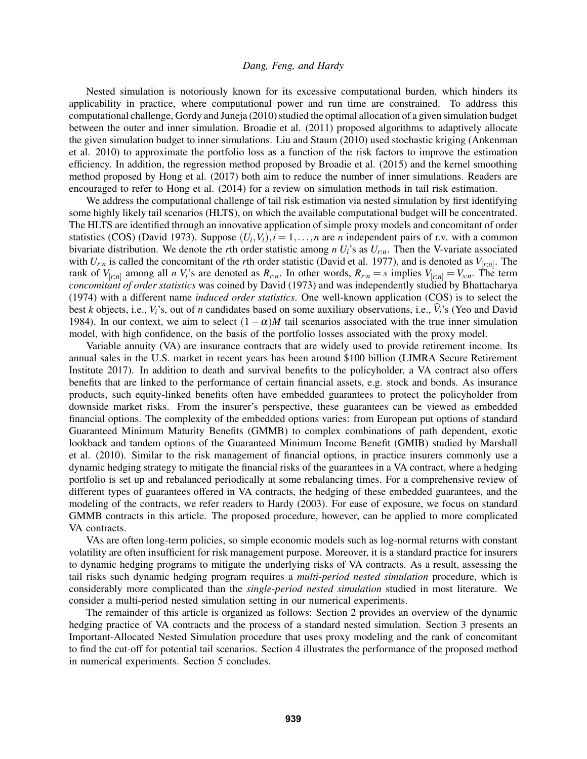Nested simulation is notoriously known for its excessive computational burden, which hinders its applicability in practice, where computational power and run time are constrained. To address this computational challenge, [Gordy and Juneja \(2010\)](#page-11-2) studied the optimal allocation of a given simulation budget between the outer and inner simulation. [Broadie et al. \(2011\)](#page-10-0) proposed algorithms to adaptively allocate the given simulation budget to inner simulations. [Liu and Staum \(2010\)](#page-11-3) used stochastic kriging [\(Ankenman](#page-10-1) [et al. 2010\)](#page-10-1) to approximate the portfolio loss as a function of the risk factors to improve the estimation efficiency. In addition, the regression method proposed by [Broadie et al. \(2015\)](#page-10-2) and the kernel smoothing method proposed by [Hong et al. \(2017\)](#page-11-4) both aim to reduce the number of inner simulations. Readers are encouraged to refer to [Hong et al. \(2014\)](#page-11-5) for a review on simulation methods in tail risk estimation.

We address the computational challenge of tail risk estimation via nested simulation by first identifying some highly likely tail scenarios (HLTS), on which the available computational budget will be concentrated. The HLTS are identified through an innovative application of simple proxy models and concomitant of order statistics (COS) [\(David 1973\)](#page-11-6). Suppose  $(U_i, V_i)$ ,  $i = 1, ..., n$  are *n* independent pairs of r.v. with a common bivariate distribution. We denote the *r*th order statistic among *n U<sub>i</sub>*'s as  $U_{rn}$ . Then the V-variate associated with *Ur*:*<sup>n</sup>* is called the concomitant of the *r*th order statistic [\(David et al. 1977\)](#page-11-7), and is denoted as *V*[*r*:*n*] . The rank of  $V_{[r,n]}$  among all *n*  $V_i$ 's are denoted as  $R_{r,n}$ . In other words,  $R_{r,n} = s$  implies  $V_{[r,n]} = V_{s,n}$ . The term *concomitant of order statistics* was coined by [David \(1973\)](#page-11-6) and was independently studied by [Bhattacharya](#page-10-3) [\(1974\)](#page-10-3) with a different name *induced order statistics*. One well-known application (COS) is to select the best *k* objects, i.e.,  $V_i$ 's, out of *n* candidates based on some auxiliary observations, i.e.,  $V_i$ 's [\(Yeo and David](#page-11-8) [1984\)](#page-11-8). In our context, we aim to select  $(1 - \alpha)M$  tail scenarios associated with the true inner simulation model, with high confidence, on the basis of the portfolio losses associated with the proxy model.

Variable annuity (VA) are insurance contracts that are widely used to provide retirement income. Its annual sales in the U.S. market in recent years has been around \$100 billion [\(LIMRA Secure Retirement](#page-11-9) [Institute 2017\)](#page-11-9). In addition to death and survival benefits to the policyholder, a VA contract also offers benefits that are linked to the performance of certain financial assets, e.g. stock and bonds. As insurance products, such equity-linked benefits often have embedded guarantees to protect the policyholder from downside market risks. From the insurer's perspective, these guarantees can be viewed as embedded financial options. The complexity of the embedded options varies: from European put options of standard Guaranteed Minimum Maturity Benefits (GMMB) to complex combinations of path dependent, exotic lookback and tandem options of the Guaranteed Minimum Income Benefit (GMIB) studied by [Marshall](#page-11-10) [et al. \(2010\).](#page-11-10) Similar to the risk management of financial options, in practice insurers commonly use a dynamic hedging strategy to mitigate the financial risks of the guarantees in a VA contract, where a hedging portfolio is set up and rebalanced periodically at some rebalancing times. For a comprehensive review of different types of guarantees offered in VA contracts, the hedging of these embedded guarantees, and the modeling of the contracts, we refer readers to [Hardy \(2003\).](#page-11-11) For ease of exposure, we focus on standard GMMB contracts in this article. The proposed procedure, however, can be applied to more complicated VA contracts.

VAs are often long-term policies, so simple economic models such as log-normal returns with constant volatility are often insufficient for risk management purpose. Moreover, it is a standard practice for insurers to dynamic hedging programs to mitigate the underlying risks of VA contracts. As a result, assessing the tail risks such dynamic hedging program requires a *multi-period nested simulation* procedure, which is considerably more complicated than the *single-period nested simulation* studied in most literature. We consider a multi-period nested simulation setting in our numerical experiments.

The remainder of this article is organized as follows: Section 2 provides an overview of the dynamic hedging practice of VA contracts and the process of a standard nested simulation. Section 3 presents an Important-Allocated Nested Simulation procedure that uses proxy modeling and the rank of concomitant to find the cut-off for potential tail scenarios. Section 4 illustrates the performance of the proposed method in numerical experiments. Section 5 concludes.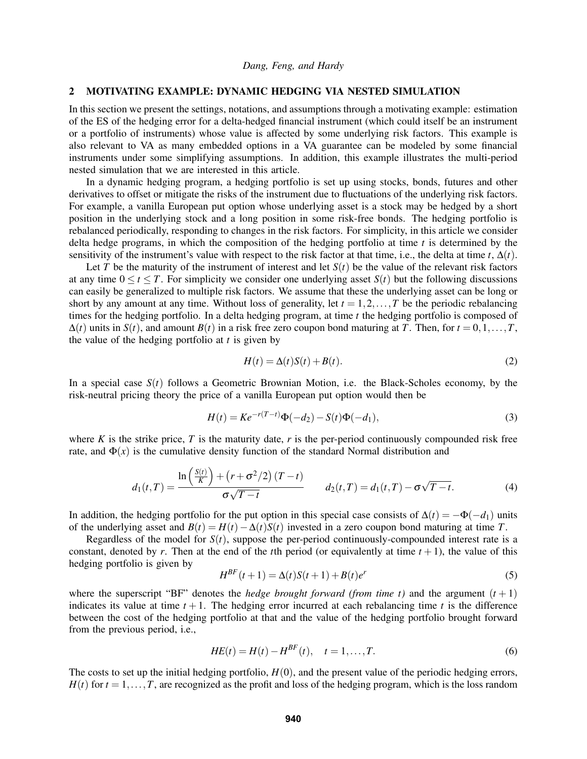### <span id="page-2-2"></span>2 MOTIVATING EXAMPLE: DYNAMIC HEDGING VIA NESTED SIMULATION

In this section we present the settings, notations, and assumptions through a motivating example: estimation of the ES of the hedging error for a delta-hedged financial instrument (which could itself be an instrument or a portfolio of instruments) whose value is affected by some underlying risk factors. This example is also relevant to VA as many embedded options in a VA guarantee can be modeled by some financial instruments under some simplifying assumptions. In addition, this example illustrates the multi-period nested simulation that we are interested in this article.

In a dynamic hedging program, a hedging portfolio is set up using stocks, bonds, futures and other derivatives to offset or mitigate the risks of the instrument due to fluctuations of the underlying risk factors. For example, a vanilla European put option whose underlying asset is a stock may be hedged by a short position in the underlying stock and a long position in some risk-free bonds. The hedging portfolio is rebalanced periodically, responding to changes in the risk factors. For simplicity, in this article we consider delta hedge programs, in which the composition of the hedging portfolio at time *t* is determined by the sensitivity of the instrument's value with respect to the risk factor at that time, i.e., the delta at time  $t, \Delta(t)$ .

Let *T* be the maturity of the instrument of interest and let  $S(t)$  be the value of the relevant risk factors at any time  $0 \le t \le T$ . For simplicity we consider one underlying asset  $S(t)$  but the following discussions can easily be generalized to multiple risk factors. We assume that these the underlying asset can be long or short by any amount at any time. Without loss of generality, let  $t = 1, 2, \ldots, T$  be the periodic rebalancing times for the hedging portfolio. In a delta hedging program, at time *t* the hedging portfolio is composed of  $\Delta(t)$  units in *S*(*t*), and amount *B*(*t*) in a risk free zero coupon bond maturing at *T*. Then, for  $t = 0, 1, \ldots, T$ , the value of the hedging portfolio at *t* is given by

<span id="page-2-0"></span>
$$
H(t) = \Delta(t)S(t) + B(t).
$$
\n(2)

In a special case  $S(t)$  follows a Geometric Brownian Motion, i.e. the Black-Scholes economy, by the risk-neutral pricing theory the price of a vanilla European put option would then be

$$
H(t) = Ke^{-r(T-t)}\Phi(-d_2) - S(t)\Phi(-d_1),
$$
\n(3)

where  $K$  is the strike price,  $T$  is the maturity date,  $r$  is the per-period continuously compounded risk free rate, and  $\Phi(x)$  is the cumulative density function of the standard Normal distribution and

$$
d_1(t,T) = \frac{\ln\left(\frac{S(t)}{K}\right) + \left(r + \sigma^2/2\right)(T-t)}{\sigma\sqrt{T-t}} \qquad d_2(t,T) = d_1(t,T) - \sigma\sqrt{T-t}.\tag{4}
$$

In addition, the hedging portfolio for the put option in this special case consists of  $\Delta(t) = -\Phi(-d_1)$  units of the underlying asset and  $B(t) = H(t) - \Delta(t)S(t)$  invested in a zero coupon bond maturing at time *T*.

Regardless of the model for  $S(t)$ , suppose the per-period continuously-compounded interest rate is a constant, denoted by *r*. Then at the end of the *t*th period (or equivalently at time  $t + 1$ ), the value of this hedging portfolio is given by

<span id="page-2-1"></span>
$$
H^{BF}(t+1) = \Delta(t)S(t+1) + B(t)e^{r}
$$
\n(5)

where the superscript "BF" denotes the *hedge brought forward (from time t)* and the argument  $(t + 1)$ indicates its value at time  $t + 1$ . The hedging error incurred at each rebalancing time  $t$  is the difference between the cost of the hedging portfolio at that and the value of the hedging portfolio brought forward from the previous period, i.e.,

$$
HE(t) = H(t) - H^{BF}(t), \quad t = 1, \dots, T.
$$
 (6)

The costs to set up the initial hedging portfolio,  $H(0)$ , and the present value of the periodic hedging errors,  $H(t)$  for  $t = 1, \ldots, T$ , are recognized as the profit and loss of the hedging program, which is the loss random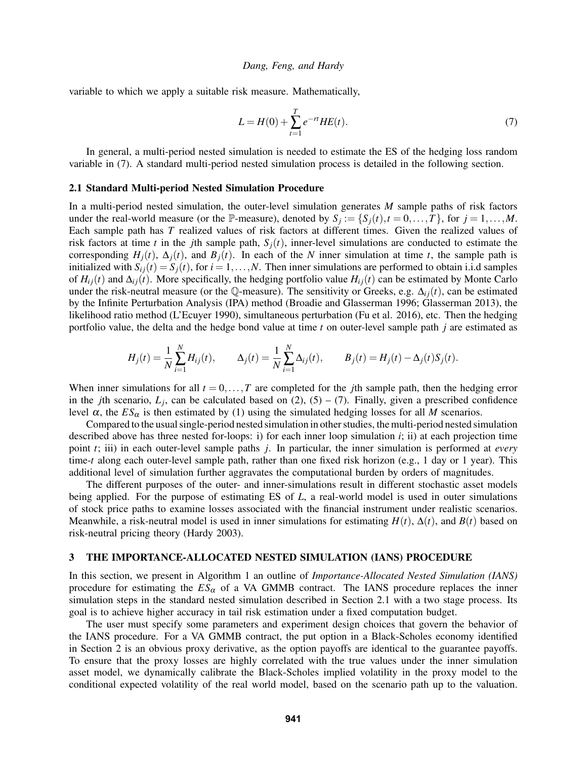variable to which we apply a suitable risk measure. Mathematically,

<span id="page-3-0"></span>
$$
L = H(0) + \sum_{t=1}^{T} e^{-rt} HE(t).
$$
 (7)

In general, a multi-period nested simulation is needed to estimate the ES of the hedging loss random variable in [\(7\)](#page-3-0). A standard multi-period nested simulation process is detailed in the following section.

### <span id="page-3-1"></span>2.1 Standard Multi-period Nested Simulation Procedure

In a multi-period nested simulation, the outer-level simulation generates *M* sample paths of risk factors under the real-world measure (or the P-measure), denoted by  $S_j := \{S_j(t), t = 0, \ldots, T\}$ , for  $j = 1, \ldots, M$ . Each sample path has *T* realized values of risk factors at different times. Given the realized values of risk factors at time *t* in the *j*th sample path,  $S_i(t)$ , inner-level simulations are conducted to estimate the corresponding  $H_i(t)$ ,  $\Delta_i(t)$ , and  $B_i(t)$ . In each of the *N* inner simulation at time *t*, the sample path is initialized with  $S_i(t) = S_i(t)$ , for  $i = 1, ..., N$ . Then inner simulations are performed to obtain i.i.d samples of  $H_{ij}(t)$  and  $\Delta_{ij}(t)$ . More specifically, the hedging portfolio value  $H_{ij}(t)$  can be estimated by Monte Carlo under the risk-neutral measure (or the Q-measure). The sensitivity or Greeks, e.g.  $\Delta_{ij}(t)$ , can be estimated by the Infinite Perturbation Analysis (IPA) method [\(Broadie and Glasserman 1996;](#page-11-12) [Glasserman 2013\)](#page-11-13), the likelihood ratio method [\(L'Ecuyer 1990\)](#page-11-14), simultaneous perturbation [\(Fu et al. 2016\)](#page-11-15), etc. Then the hedging portfolio value, the delta and the hedge bond value at time *t* on outer-level sample path *j* are estimated as

$$
H_j(t) = \frac{1}{N} \sum_{i=1}^N H_{ij}(t), \qquad \Delta_j(t) = \frac{1}{N} \sum_{i=1}^N \Delta_{ij}(t), \qquad B_j(t) = H_j(t) - \Delta_j(t) S_j(t).
$$

When inner simulations for all  $t = 0, \ldots, T$  are completed for the *j*th sample path, then the hedging error in the *j*th scenario,  $L_j$ , can be calculated based on [\(2\)](#page-2-0), [\(5\)](#page-2-1) – [\(7\)](#page-3-0). Finally, given a prescribed confidence level α, the  $ES_\alpha$  is then estimated by [\(1\)](#page-0-0) using the simulated hedging losses for all *M* scenarios.

Compared to the usual single-period nested simulation in other studies, the multi-period nested simulation described above has three nested for-loops: i) for each inner loop simulation *i*; ii) at each projection time point *t*; iii) in each outer-level sample paths *j*. In particular, the inner simulation is performed at *every* time-*t* along each outer-level sample path, rather than one fixed risk horizon (e.g., 1 day or 1 year). This additional level of simulation further aggravates the computational burden by orders of magnitudes.

The different purposes of the outer- and inner-simulations result in different stochastic asset models being applied. For the purpose of estimating ES of *L*, a real-world model is used in outer simulations of stock price paths to examine losses associated with the financial instrument under realistic scenarios. Meanwhile, a risk-neutral model is used in inner simulations for estimating  $H(t)$ ,  $\Delta(t)$ , and  $B(t)$  based on risk-neutral pricing theory [\(Hardy 2003\)](#page-11-11).

#### <span id="page-3-2"></span>3 THE IMPORTANCE-ALLOCATED NESTED SIMULATION (IANS) PROCEDURE

In this section, we present in Algorithm [1](#page-4-0) an outline of *Importance-Allocated Nested Simulation (IANS)* procedure for estimating the  $ES_\alpha$  of a VA GMMB contract. The IANS procedure replaces the inner simulation steps in the standard nested simulation described in Section [2.1](#page-3-1) with a two stage process. Its goal is to achieve higher accuracy in tail risk estimation under a fixed computation budget.

The user must specify some parameters and experiment design choices that govern the behavior of the IANS procedure. For a VA GMMB contract, the put option in a Black-Scholes economy identified in Section [2](#page-2-2) is an obvious proxy derivative, as the option payoffs are identical to the guarantee payoffs. To ensure that the proxy losses are highly correlated with the true values under the inner simulation asset model, we dynamically calibrate the Black-Scholes implied volatility in the proxy model to the conditional expected volatility of the real world model, based on the scenario path up to the valuation.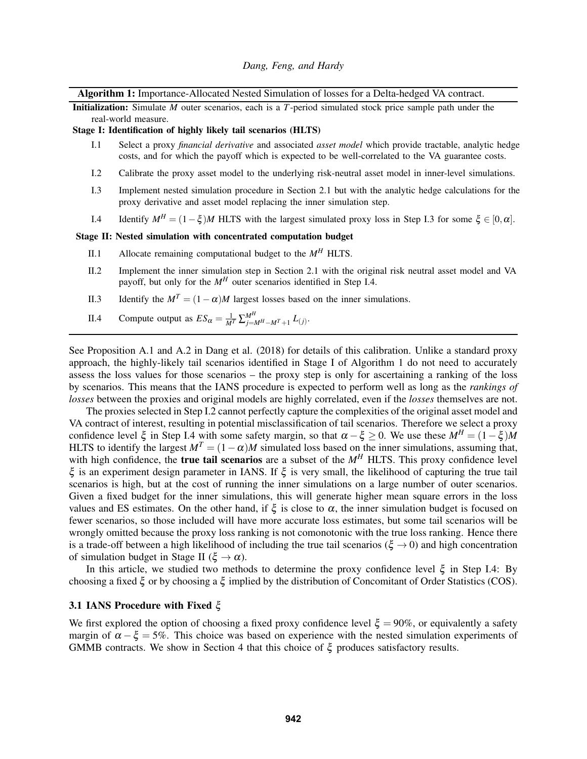Algorithm 1: Importance-Allocated Nested Simulation of losses for a Delta-hedged VA contract.

Initialization: Simulate *M* outer scenarios, each is a *T*-period simulated stock price sample path under the real-world measure.

#### Stage I: Identification of highly likely tail scenarios (HLTS)

- I.1 Select a proxy *financial derivative* and associated *asset model* which provide tractable, analytic hedge costs, and for which the payoff which is expected to be well-correlated to the VA guarantee costs.
- <span id="page-4-3"></span>I.2 Calibrate the proxy asset model to the underlying risk-neutral asset model in inner-level simulations.
- <span id="page-4-1"></span>I.3 Implement nested simulation procedure in Section [2.1](#page-3-1) but with the analytic hedge calculations for the proxy derivative and asset model replacing the inner simulation step.
- <span id="page-4-2"></span>I.4 Identify  $M^H = (1 - \xi)M$  HLTS with the largest simulated proxy loss in Step [I.3](#page-4-1) for some  $\xi \in [0, \alpha]$ .

# Stage II: Nested simulation with concentrated computation budget

- II.1 Allocate remaining computational budget to the  $M<sup>H</sup>$  HLTS.
- II.2 Implement the inner simulation step in Section [2.1](#page-3-1) with the original risk neutral asset model and VA payoff, but only for the  $M<sup>H</sup>$  outer scenarios identified in Step [I.4.](#page-4-2)
- II.3 Identify the  $M^T = (1 \alpha)M$  largest losses based on the inner simulations.
- <span id="page-4-0"></span>II.4 Compute output as  $ES_{\alpha} = \frac{1}{M^{T}} \sum_{j=M^{H}-M^{T}+1}^{M^{H}} L_{(j)}$ .

See Proposition A.1 and A.2 in [Dang et al. \(2018\)](#page-11-16) for details of this calibration. Unlike a standard proxy approach, the highly-likely tail scenarios identified in Stage I of Algorithm [1](#page-4-0) do not need to accurately assess the loss values for those scenarios – the proxy step is only for ascertaining a ranking of the loss by scenarios. This means that the IANS procedure is expected to perform well as long as the *rankings of losses* between the proxies and original models are highly correlated, even if the *losses* themselves are not.

The proxies selected in Step [I.2](#page-4-3) cannot perfectly capture the complexities of the original asset model and VA contract of interest, resulting in potential misclassification of tail scenarios. Therefore we select a proxy confidence level  $\xi$  in Step [I.4](#page-4-2) with some safety margin, so that  $\alpha - \xi \geq 0$ . We use these  $M^H = (1 - \xi)M$ HLTS to identify the largest  $M^T = (1 - \alpha)M$  simulated loss based on the inner simulations, assuming that, with high confidence, the **true tail scenarios** are a subset of the  $M<sup>H</sup>$  HLTS. This proxy confidence level ξ is an experiment design parameter in IANS. If ξ is very small, the likelihood of capturing the true tail scenarios is high, but at the cost of running the inner simulations on a large number of outer scenarios. Given a fixed budget for the inner simulations, this will generate higher mean square errors in the loss values and ES estimates. On the other hand, if  $\xi$  is close to  $\alpha$ , the inner simulation budget is focused on fewer scenarios, so those included will have more accurate loss estimates, but some tail scenarios will be wrongly omitted because the proxy loss ranking is not comonotonic with the true loss ranking. Hence there is a trade-off between a high likelihood of including the true tail scenarios ( $\xi \rightarrow 0$ ) and high concentration of simulation budget in Stage II ( $\xi \to \alpha$ ).

In this article, we studied two methods to determine the proxy confidence level  $\xi$  in Step [I.4:](#page-4-2) By choosing a fixed ξ or by choosing a ξ implied by the distribution of Concomitant of Order Statistics (COS).

## <span id="page-4-4"></span>3.1 IANS Procedure with Fixed ξ

We first explored the option of choosing a fixed proxy confidence level  $\xi = 90\%$ , or equivalently a safety margin of  $\alpha - \xi = 5\%$ . This choice was based on experience with the nested simulation experiments of GMMB contracts. We show in Section [4](#page-6-0) that this choice of  $\xi$  produces satisfactory results.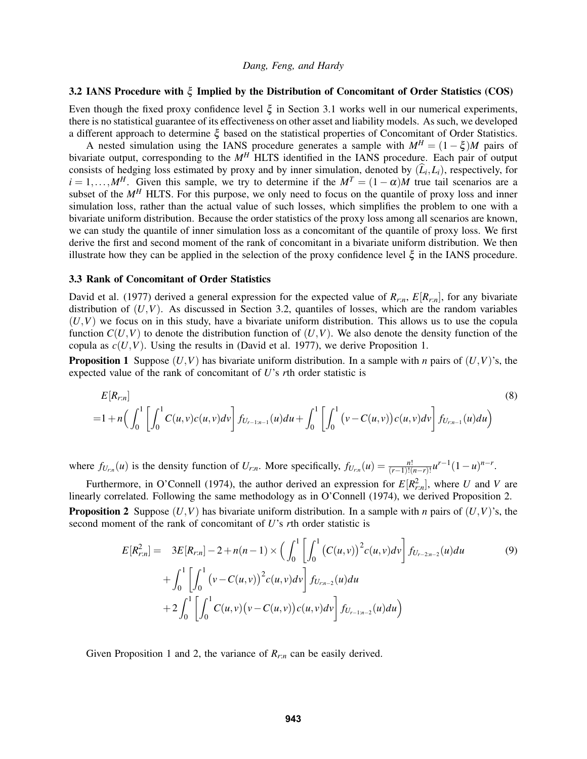## <span id="page-5-0"></span>3.2 IANS Procedure with ξ Implied by the Distribution of Concomitant of Order Statistics (COS)

Even though the fixed proxy confidence level  $\xi$  in Section [3.1](#page-4-4) works well in our numerical experiments, there is no statistical guarantee of its effectiveness on other asset and liability models. As such, we developed a different approach to determine ξ based on the statistical properties of Concomitant of Order Statistics.

A nested simulation using the IANS procedure generates a sample with  $M^H = (1 - \xi)M$  pairs of bivariate output, corresponding to the *M<sup>H</sup>* HLTS identified in the IANS procedure. Each pair of output consists of hedging loss estimated by proxy and by inner simulation, denoted by  $(L_i, L_i)$ , respectively, for  $i = 1, \ldots, M$ <sup>*H*</sup>. Given this sample, we try to determine if the  $M<sup>T</sup> = (1 - \alpha)M$  true tail scenarios are a subset of the  $M<sup>H</sup>$  HLTS. For this purpose, we only need to focus on the quantile of proxy loss and inner simulation loss, rather than the actual value of such losses, which simplifies the problem to one with a bivariate uniform distribution. Because the order statistics of the proxy loss among all scenarios are known, we can study the quantile of inner simulation loss as a concomitant of the quantile of proxy loss. We first derive the first and second moment of the rank of concomitant in a bivariate uniform distribution. We then illustrate how they can be applied in the selection of the proxy confidence level  $\xi$  in the IANS procedure.

# 3.3 Rank of Concomitant of Order Statistics

[David et al. \(1977\)](#page-11-7) derived a general expression for the expected value of  $R_{r,n}$ ,  $E[R_{r,n}]$ , for any bivariate distribution of  $(U, V)$ . As discussed in Section [3.2,](#page-5-0) quantiles of losses, which are the random variables  $(U, V)$  we focus on in this study, have a bivariate uniform distribution. This allows us to use the copula function  $C(U,V)$  to denote the distribution function of  $(U,V)$ . We also denote the density function of the copula as  $c(U,V)$ . Using the results in [\(David et al. 1977\)](#page-11-7), we derive Proposition [1.](#page-5-1)

<span id="page-5-1"></span>**Proposition 1** Suppose  $(U, V)$  has bivariate uniform distribution. In a sample with *n* pairs of  $(U, V)$ 's, the expected value of the rank of concomitant of *U*'s *r*th order statistic is

<span id="page-5-3"></span>
$$
E[R_{r:n}]
$$
\n
$$
=1+n\Big(\int_0^1\left[\int_0^1C(u,v)c(u,v)dv\right]f_{U_{r-1:n-1}}(u)du+\int_0^1\left[\int_0^1\left(v-C(u,v)\right)c(u,v)dv\right]f_{U_{r:n-1}}(u)du\Big)
$$
\n(8)

where  $f_{U_{r,n}}(u)$  is the density function of  $U_{r,n}$ . More specifically,  $f_{U_{r,n}}(u) = \frac{n!}{(r-1)!(n-r)!}u^{r-1}(1-u)^{n-r}$ .

<span id="page-5-2"></span>Furthermore, in [O'Connell \(1974\),](#page-11-17) the author derived an expression for  $E[R_{r,n}^2]$ , where *U* and *V* are linearly correlated. Following the same methodology as in [O'Connell \(1974\),](#page-11-17) we derived Proposition [2.](#page-5-2) **Proposition 2** Suppose  $(U, V)$  has bivariate uniform distribution. In a sample with *n* pairs of  $(U, V)$ 's, the second moment of the rank of concomitant of *U*'s *r*th order statistic is

<span id="page-5-4"></span>
$$
E[R_{r:n}^2] = 3E[R_{r:n}] - 2 + n(n-1) \times \left( \int_0^1 \left[ \int_0^1 (C(u,v))^2 c(u,v) dv \right] f_{U_{r-2:n-2}}(u) du \right. \tag{9}
$$
  
+ 
$$
\int_0^1 \left[ \int_0^1 (v - C(u,v))^2 c(u,v) dv \right] f_{U_{r:n-2}}(u) du
$$
  
+ 
$$
2 \int_0^1 \left[ \int_0^1 C(u,v) (v - C(u,v)) c(u,v) dv \right] f_{U_{r-1:n-2}}(u) du \right)
$$

Given Proposition [1](#page-5-1) and [2,](#page-5-2) the variance of *Rr*:*<sup>n</sup>* can be easily derived.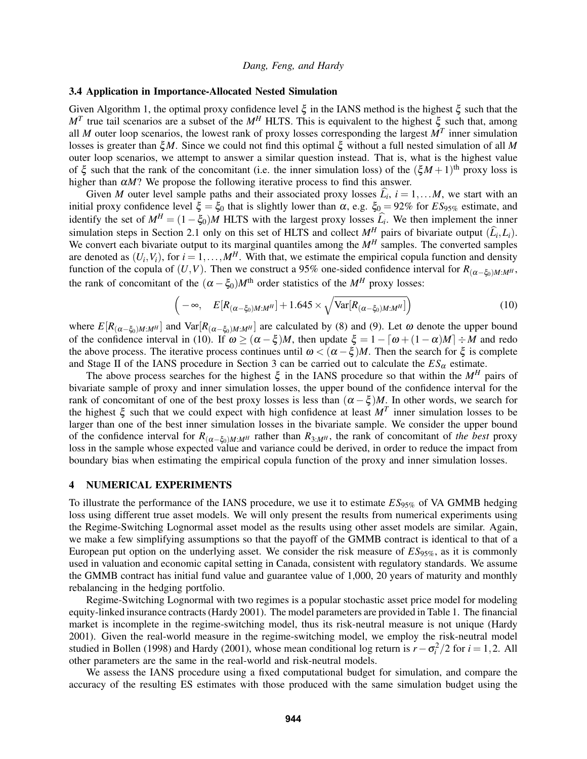### 3.4 Application in Importance-Allocated Nested Simulation

Given Algorithm [1,](#page-4-0) the optimal proxy confidence level ξ in the IANS method is the highest ξ such that the *M<sup>T</sup>* true tail scenarios are a subset of the *M<sup>H</sup>* HLTS. This is equivalent to the highest ξ such that, among all *M* outer loop scenarios, the lowest rank of proxy losses corresponding the largest *M<sup>T</sup>* inner simulation losses is greater than ξ*M*. Since we could not find this optimal ξ without a full nested simulation of all *M* outer loop scenarios, we attempt to answer a similar question instead. That is, what is the highest value of  $\xi$  such that the rank of the concomitant (i.e. the inner simulation loss) of the  $(\xi M + 1)$ <sup>th</sup> proxy loss is higher than  $\alpha M$ ? We propose the following iterative process to find this answer.

Given *M* outer level sample paths and their associated proxy losses  $L_i$ ,  $i = 1,...M$ , we start with an initial proxy confidence level  $\xi = \xi_0$  that is slightly lower than  $\alpha$ , e.g.  $\xi_0 = 92\%$  for  $ES_{95\%}$  estimate, and identify the set of  $M^H = (1 - \xi_0)M$  HLTS with the largest proxy losses  $\hat{L}_i$ . We then implement the inner simulation steps in Section [2.1](#page-3-1) only on this set of HLTS and collect  $M^H$  pairs of bivariate output  $(\hat{L}_i, L_i)$ . We convert each bivariate output to its marginal quantiles among the  $M<sup>H</sup>$  samples. The converted samples are denoted as  $(U_i, V_i)$ , for  $i = 1, ..., M^H$ . With that, we estimate the empirical copula function and density function of the copula of  $(U, V)$ . Then we construct a 95% one-sided confidence interval for  $R_{(\alpha-\xi_0)M:M^H}$ , the rank of concomitant of the  $(\alpha - \xi_0)M^{\text{th}}$  order statistics of the  $M^H$  proxy losses:

<span id="page-6-1"></span>
$$
\left(-\infty, \quad E[R_{(\alpha-\xi_0)M:M^H}] + 1.645 \times \sqrt{\text{Var}[R_{(\alpha-\xi_0)M:M^H}]}\right) \tag{10}
$$

where  $E[R(\alpha-\xi_0)M:M^H]$  and  $Var[R(\alpha-\xi_0)M:M^H]$  are calculated by [\(8\)](#page-5-3) and [\(9\)](#page-5-4). Let  $\omega$  denote the upper bound of the confidence interval in [\(10\)](#page-6-1). If  $\omega \geq (\alpha - \xi)M$ , then update  $\xi = 1 - [\omega + (1 - \alpha)M] \div M$  and redo the above process. The iterative process continues until  $\omega < (\alpha - \xi)M$ . Then the search for  $\xi$  is complete and Stage II of the IANS procedure in Section [3](#page-3-2) can be carried out to calculate the  $ES_\alpha$  estimate.

The above process searches for the highest  $\xi$  in the IANS procedure so that within the  $M^H$  pairs of bivariate sample of proxy and inner simulation losses, the upper bound of the confidence interval for the rank of concomitant of one of the best proxy losses is less than  $(\alpha - \xi)M$ . In other words, we search for the highest  $\xi$  such that we could expect with high confidence at least  $M<sup>T</sup>$  inner simulation losses to be larger than one of the best inner simulation losses in the bivariate sample. We consider the upper bound of the confidence interval for  $R_{(\alpha-\xi_0)M:M^H}$  rather than  $R_{3:M^H}$ , the rank of concomitant of *the best* proxy loss in the sample whose expected value and variance could be derived, in order to reduce the impact from boundary bias when estimating the empirical copula function of the proxy and inner simulation losses.

## <span id="page-6-0"></span>4 NUMERICAL EXPERIMENTS

To illustrate the performance of the IANS procedure, we use it to estimate *ES*95% of VA GMMB hedging loss using different true asset models. We will only present the results from numerical experiments using the Regime-Switching Lognormal asset model as the results using other asset models are similar. Again, we make a few simplifying assumptions so that the payoff of the GMMB contract is identical to that of a European put option on the underlying asset. We consider the risk measure of *ES*95%, as it is commonly used in valuation and economic capital setting in Canada, consistent with regulatory standards. We assume the GMMB contract has initial fund value and guarantee value of 1,000, 20 years of maturity and monthly rebalancing in the hedging portfolio.

Regime-Switching Lognormal with two regimes is a popular stochastic asset price model for modeling equity-linked insurance contracts [\(Hardy 2001\)](#page-11-18). The model parameters are provided in Table [1.](#page-7-0) The financial market is incomplete in the regime-switching model, thus its risk-neutral measure is not unique [\(Hardy](#page-11-18) [2001\)](#page-11-18). Given the real-world measure in the regime-switching model, we employ the risk-neutral model studied in [Bollen \(1998\)](#page-10-4) and [Hardy \(2001\),](#page-11-18) whose mean conditional log return is  $r - \sigma_i^2/2$  for  $i = 1, 2$ . All other parameters are the same in the real-world and risk-neutral models.

We assess the IANS procedure using a fixed computational budget for simulation, and compare the accuracy of the resulting ES estimates with those produced with the same simulation budget using the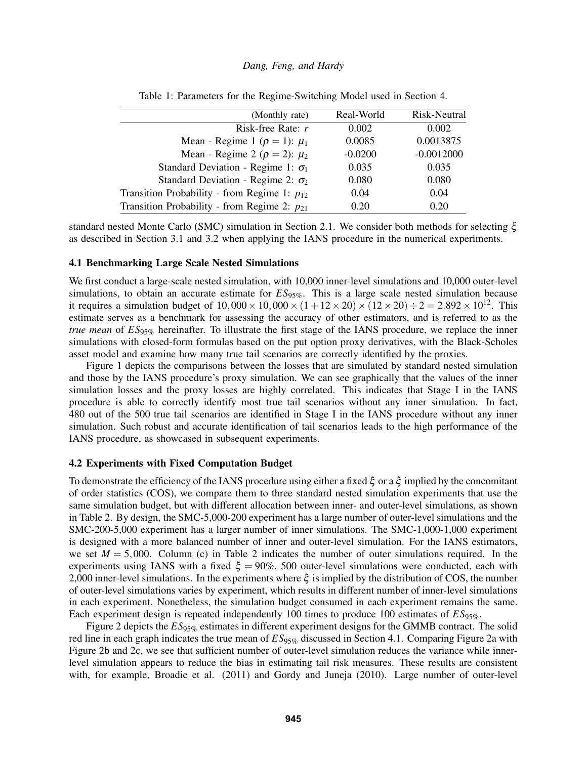<span id="page-7-0"></span>

| (Monthly rate)                                   | Real-World | Risk-Neutral |
|--------------------------------------------------|------------|--------------|
| Risk-free Rate: $r$                              | 0.002      | 0.002        |
| Mean - Regime 1 ( $\rho = 1$ ): $\mu_1$          | 0.0085     | 0.0013875    |
| Mean - Regime 2 ( $\rho = 2$ ): $\mu_2$          | $-0.0200$  | $-0.0012000$ |
| Standard Deviation - Regime 1: $\sigma_1$        | 0.035      | 0.035        |
| Standard Deviation - Regime 2: $\sigma_2$        | 0.080      | 0.080        |
| Transition Probability - from Regime 1: $p_{12}$ | 0.04       | 0.04         |
| Transition Probability - from Regime 2: $p_{21}$ | 0.20       | 0.20         |

| Table 1: Parameters for the Regime-Switching Model used in Section 4. |  |  |  |
|-----------------------------------------------------------------------|--|--|--|
|                                                                       |  |  |  |

standard nested Monte Carlo (SMC) simulation in Section [2.1.](#page-3-1) We consider both methods for selecting ξ as described in Section [3.1](#page-4-4) and [3.2](#page-5-0) when applying the IANS procedure in the numerical experiments.

## <span id="page-7-1"></span>4.1 Benchmarking Large Scale Nested Simulations

We first conduct a large-scale nested simulation, with 10,000 inner-level simulations and 10,000 outer-level simulations, to obtain an accurate estimate for  $ES_{95\%}$ . This is a large scale nested simulation because it requires a simulation budget of  $10,000 \times 10,000 \times (1 + 12 \times 20) \times (12 \times 20) \div 2 = 2.892 \times 10^{12}$ . This estimate serves as a benchmark for assessing the accuracy of other estimators, and is referred to as the *true mean* of *ES*95% hereinafter. To illustrate the first stage of the IANS procedure, we replace the inner simulations with closed-form formulas based on the put option proxy derivatives, with the Black-Scholes asset model and examine how many true tail scenarios are correctly identified by the proxies.

Figure [1](#page-8-0) depicts the comparisons between the losses that are simulated by standard nested simulation and those by the IANS procedure's proxy simulation. We can see graphically that the values of the inner simulation losses and the proxy losses are highly correlated. This indicates that Stage I in the IANS procedure is able to correctly identify most true tail scenarios without any inner simulation. In fact, 480 out of the 500 true tail scenarios are identified in Stage I in the IANS procedure without any inner simulation. Such robust and accurate identification of tail scenarios leads to the high performance of the IANS procedure, as showcased in subsequent experiments.

## 4.2 Experiments with Fixed Computation Budget

To demonstrate the efficiency of the IANS procedure using either a fixed ξ or a ξ implied by the concomitant of order statistics (COS), we compare them to three standard nested simulation experiments that use the same simulation budget, but with different allocation between inner- and outer-level simulations, as shown in Table [2.](#page-9-0) By design, the SMC-5,000-200 experiment has a large number of outer-level simulations and the SMC-200-5,000 experiment has a larger number of inner simulations. The SMC-1,000-1,000 experiment is designed with a more balanced number of inner and outer-level simulation. For the IANS estimators, we set  $M = 5,000$ . Column (c) in Table [2](#page-9-0) indicates the number of outer simulations required. In the experiments using IANS with a fixed  $\xi = 90\%$ , 500 outer-level simulations were conducted, each with 2,000 inner-level simulations. In the experiments where  $\xi$  is implied by the distribution of COS, the number of outer-level simulations varies by experiment, which results in different number of inner-level simulations in each experiment. Nonetheless, the simulation budget consumed in each experiment remains the same. Each experiment design is repeated independently 100 times to produce 100 estimates of  $ES_{95\%}$ .

Figure [2](#page-10-5) depicts the *ES*95% estimates in different experiment designs for the GMMB contract. The solid red line in each graph indicates the true mean of *ES*95% discussed in Section [4.1.](#page-7-1) Comparing Figure [2a](#page-10-5) with Figure [2b](#page-10-5) and [2c,](#page-10-5) we see that sufficient number of outer-level simulation reduces the variance while innerlevel simulation appears to reduce the bias in estimating tail risk measures. These results are consistent with, for example, [Broadie et al. \(2011\)](#page-10-0) and [Gordy and Juneja \(2010\).](#page-11-2) Large number of outer-level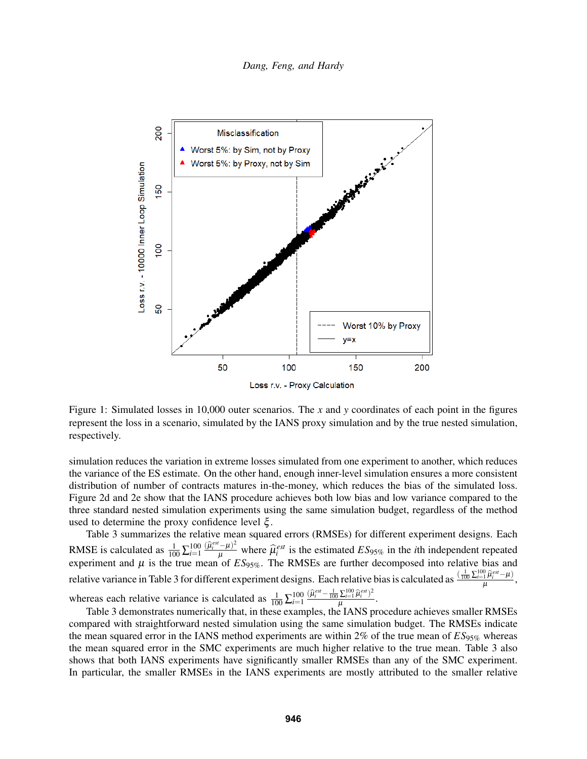<span id="page-8-0"></span>

Figure 1: Simulated losses in 10,000 outer scenarios. The *x* and *y* coordinates of each point in the figures represent the loss in a scenario, simulated by the IANS proxy simulation and by the true nested simulation, respectively.

simulation reduces the variation in extreme losses simulated from one experiment to another, which reduces the variance of the ES estimate. On the other hand, enough inner-level simulation ensures a more consistent distribution of number of contracts matures in-the-money, which reduces the bias of the simulated loss. Figure [2d](#page-10-5) and [2e](#page-10-5) show that the IANS procedure achieves both low bias and low variance compared to the three standard nested simulation experiments using the same simulation budget, regardless of the method used to determine the proxy confidence level  $\xi$ .

Table [3](#page-9-1) summarizes the relative mean squared errors (RMSEs) for different experiment designs. Each RMSE is calculated as  $\frac{1}{100} \sum_{i=1}^{100} \frac{(\hat{\mu}_{i}^{est} - \mu)^2}{\mu}$  where  $\hat{\mu}_{i}^{est}$  is the estimated  $ES_{95\%}$  in the *i*<sup>th</sup> independent repeated experiment and  $\mu$  is the true mean of  $ES_{95\%}$ . The RMSEs are further decomposed into relative bias and relative variance in Table [3](#page-9-1) for different experiment designs. Each relative bias is calculated as  $\frac{(\frac{1}{100}\sum_{i=1}^{100}\hat{\mu}_i^{est}-\mu)}{\mu}$  $\frac{1}{\mu}^{\mu_i-\mu_j}$ , whereas each relative variance is calculated as  $\frac{1}{100} \sum_{i=1}^{100} \frac{(\hat{\mu}_i^{est} - \frac{1}{100} \sum_{i=1}^{100} \hat{\mu}_i^{est})^2}{\mu}$  $\frac{\sum_{i=1}^{n} \mu_i}{\mu}$ .

Table [3](#page-9-1) demonstrates numerically that, in these examples, the IANS procedure achieves smaller RMSEs compared with straightforward nested simulation using the same simulation budget. The RMSEs indicate the mean squared error in the IANS method experiments are within 2% of the true mean of  $ES_{95\%}$  whereas the mean squared error in the SMC experiments are much higher relative to the true mean. Table [3](#page-9-1) also shows that both IANS experiments have significantly smaller RMSEs than any of the SMC experiment. In particular, the smaller RMSEs in the IANS experiments are mostly attributed to the smaller relative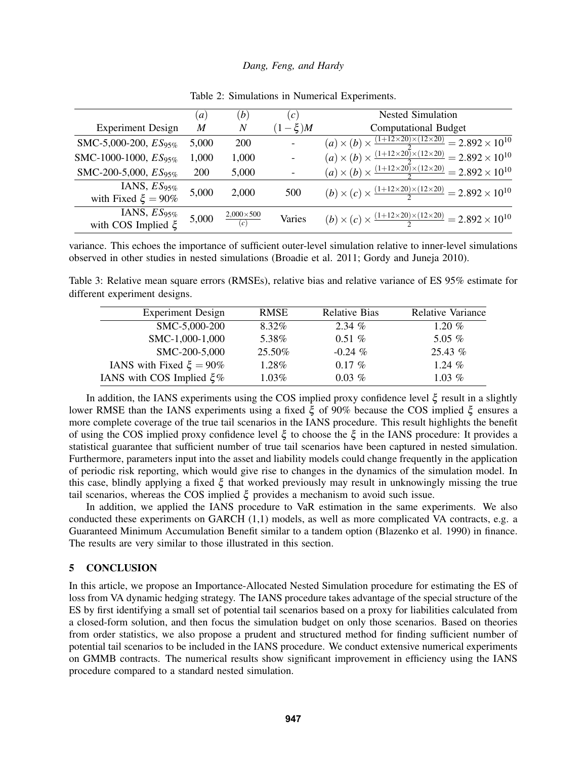<span id="page-9-0"></span>

|                                              | $\left(a\right)$ | (b)                          | $\left( c\right)$        | <b>Nested Simulation</b>                                                                  |  |
|----------------------------------------------|------------------|------------------------------|--------------------------|-------------------------------------------------------------------------------------------|--|
| <b>Experiment Design</b>                     | M                | N                            | $(1-\xi)M$               | <b>Computational Budget</b>                                                               |  |
| SMC-5,000-200, $ES_{95\%}$                   | 5,000            | 200                          | $\overline{\phantom{a}}$ | $(a) \times (b) \times \frac{(1+12\times20)\times(12\times20)}{2} = 2.892\times10^{10}$   |  |
| SMC-1000-1000, ES <sub>95%</sub>             | 1,000            | 1,000                        | $\blacksquare$           | $(a) \times (b) \times \frac{(1+12\times20)\times(12\times20)}{2} = 2.892 \times 10^{10}$ |  |
| SMC-200-5,000, $ES_{95\%}$                   | <b>200</b>       | 5,000                        |                          | $(a) \times (b) \times \frac{(1+12\times20)\times(12\times20)}{2} = 2.892 \times 10^{10}$ |  |
| IANS, $ES_{95\%}$<br>with Fixed $\xi = 90\%$ | 5,000            | 2,000                        | 500                      | $(b) \times (c) \times \frac{(1+12\times20)\times(12\times20)}{2} = 2.892 \times 10^{10}$ |  |
| IANS, $ES_{95\%}$<br>with COS Implied $\xi$  | 5,000            | $\frac{2,000\times500}{(c)}$ | Varies                   | $(b) \times (c) \times \frac{(1+12\times20)\times(12\times20)}{2} = 2.892 \times 10^{10}$ |  |

Table 2: Simulations in Numerical Experiments.

variance. This echoes the importance of sufficient outer-level simulation relative to inner-level simulations observed in other studies in nested simulations [\(Broadie et al. 2011;](#page-10-0) [Gordy and Juneja 2010\)](#page-11-2).

<span id="page-9-1"></span>Table 3: Relative mean square errors (RMSEs), relative bias and relative variance of ES 95% estimate for different experiment designs.

| <b>Experiment Design</b>      | <b>RMSE</b> | <b>Relative Bias</b> | <b>Relative Variance</b> |
|-------------------------------|-------------|----------------------|--------------------------|
| SMC-5,000-200                 | 8.32%       | $2.34\%$             | 1.20 $%$                 |
| SMC-1,000-1,000               | 5.38%       | $0.51\%$             | 5.05 $%$                 |
| SMC-200-5,000                 | 25.50%      | $-0.24\%$            | 25.43%                   |
| IANS with Fixed $\xi = 90\%$  | 1.28%       | $0.17\%$             | 1.24 $\%$                |
| IANS with COS Implied $\xi$ % | $1.03\%$    | $0.03\%$             | 1.03 $%$                 |

In addition, the IANS experiments using the COS implied proxy confidence level ξ result in a slightly lower RMSE than the IANS experiments using a fixed ξ of 90% because the COS implied ξ ensures a more complete coverage of the true tail scenarios in the IANS procedure. This result highlights the benefit of using the COS implied proxy confidence level ξ to choose the ξ in the IANS procedure: It provides a statistical guarantee that sufficient number of true tail scenarios have been captured in nested simulation. Furthermore, parameters input into the asset and liability models could change frequently in the application of periodic risk reporting, which would give rise to changes in the dynamics of the simulation model. In this case, blindly applying a fixed ξ that worked previously may result in unknowingly missing the true tail scenarios, whereas the COS implied ξ provides a mechanism to avoid such issue.

In addition, we applied the IANS procedure to VaR estimation in the same experiments. We also conducted these experiments on GARCH (1,1) models, as well as more complicated VA contracts, e.g. a Guaranteed Minimum Accumulation Benefit similar to a tandem option [\(Blazenko et al. 1990\)](#page-10-6) in finance. The results are very similar to those illustrated in this section.

# 5 CONCLUSION

In this article, we propose an Importance-Allocated Nested Simulation procedure for estimating the ES of loss from VA dynamic hedging strategy. The IANS procedure takes advantage of the special structure of the ES by first identifying a small set of potential tail scenarios based on a proxy for liabilities calculated from a closed-form solution, and then focus the simulation budget on only those scenarios. Based on theories from order statistics, we also propose a prudent and structured method for finding sufficient number of potential tail scenarios to be included in the IANS procedure. We conduct extensive numerical experiments on GMMB contracts. The numerical results show significant improvement in efficiency using the IANS procedure compared to a standard nested simulation.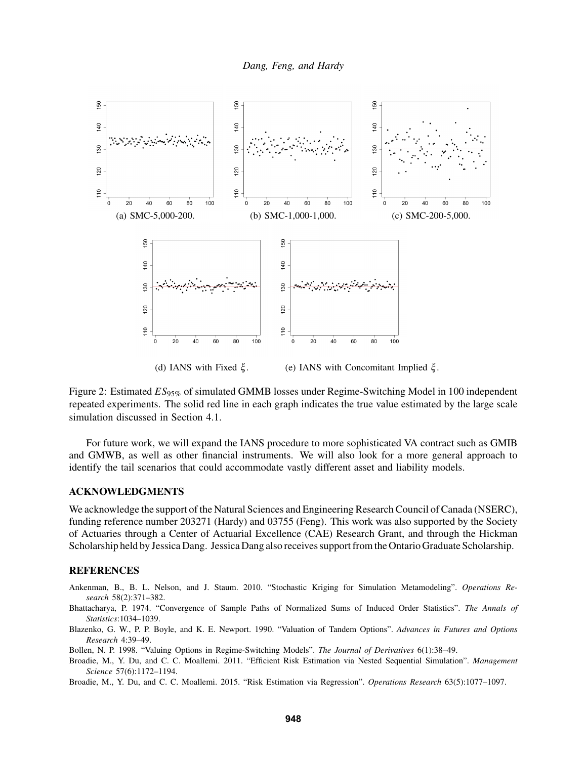<span id="page-10-5"></span>

Figure 2: Estimated  $ES_{95\%}$  of simulated GMMB losses under Regime-Switching Model in 100 independent repeated experiments. The solid red line in each graph indicates the true value estimated by the large scale simulation discussed in Section [4.1.](#page-7-1)

For future work, we will expand the IANS procedure to more sophisticated VA contract such as GMIB and GMWB, as well as other financial instruments. We will also look for a more general approach to identify the tail scenarios that could accommodate vastly different asset and liability models.

### ACKNOWLEDGMENTS

We acknowledge the support of the Natural Sciences and Engineering Research Council of Canada (NSERC), funding reference number 203271 (Hardy) and 03755 (Feng). This work was also supported by the Society of Actuaries through a Center of Actuarial Excellence (CAE) Research Grant, and through the Hickman Scholarship held by Jessica Dang. Jessica Dang also receives support from the Ontario Graduate Scholarship.

## **REFERENCES**

- <span id="page-10-1"></span>Ankenman, B., B. L. Nelson, and J. Staum. 2010. "Stochastic Kriging for Simulation Metamodeling". *Operations Research* 58(2):371–382.
- <span id="page-10-3"></span>Bhattacharya, P. 1974. "Convergence of Sample Paths of Normalized Sums of Induced Order Statistics". *The Annals of Statistics*:1034–1039.
- <span id="page-10-6"></span>Blazenko, G. W., P. P. Boyle, and K. E. Newport. 1990. "Valuation of Tandem Options". *Advances in Futures and Options Research* 4:39–49.
- <span id="page-10-4"></span>Bollen, N. P. 1998. "Valuing Options in Regime-Switching Models". *The Journal of Derivatives* 6(1):38–49.
- <span id="page-10-0"></span>Broadie, M., Y. Du, and C. C. Moallemi. 2011. "Efficient Risk Estimation via Nested Sequential Simulation". *Management Science* 57(6):1172–1194.
- <span id="page-10-2"></span>Broadie, M., Y. Du, and C. C. Moallemi. 2015. "Risk Estimation via Regression". *Operations Research* 63(5):1077–1097.